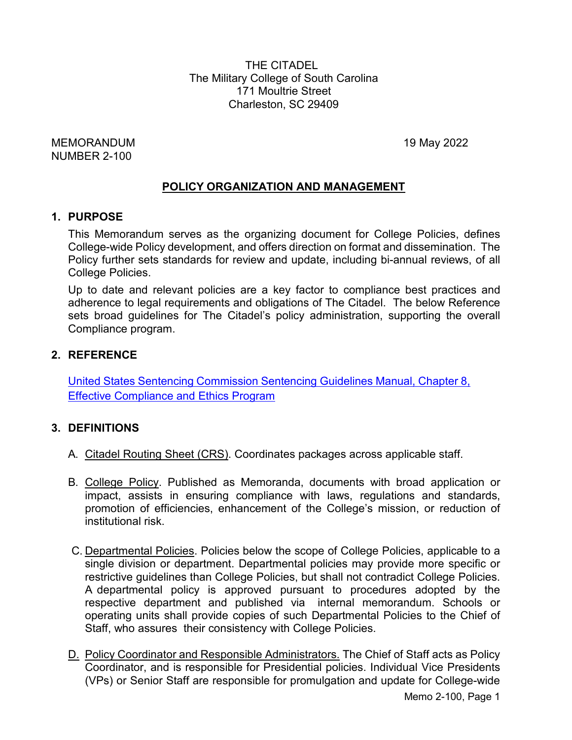THE CITADEL The Military College of South Carolina 171 Moultrie Street Charleston, SC 29409

MEMORANDUM 19 May 2022 NUMBER 2-100

### **POLICY ORGANIZATION AND MANAGEMENT**

#### **1. PURPOSE**

This Memorandum serves as the organizing document for College Policies, defines College-wide Policy development, and offers direction on format and dissemination. The Policy further sets standards for review and update, including bi-annual reviews, of all College Policies.

Up to date and relevant policies are a key factor to compliance best practices and adherence to legal requirements and obligations of The Citadel. The below Reference sets broad guidelines for The Citadel's policy administration, supporting the overall Compliance program.

### **2. REFERENCE**

United States Sentencing Commission [Sentencing Guidelines](http://www.ussc.gov/Guidelines/2013_Guidelines/Manual_HTML/8b2_1.htm) Manual, Chapter 8, Effective [Compliance and Ethics Program](http://www.ussc.gov/Guidelines/2013_Guidelines/Manual_HTML/8b2_1.htm)

#### **3. DEFINITIONS**

- A. Citadel Routing Sheet (CRS). Coordinates packages across applicable staff.
- B. College Policy. Published as Memoranda, documents with broad application or impact, assists in ensuring compliance with laws, regulations and standards, promotion of efficiencies, enhancement of the College's mission, or reduction of institutional risk.
- C. Departmental Policies. Policies below the scope of College Policies, applicable to a single division or department. Departmental policies may provide more specific or restrictive guidelines than College Policies, but shall not contradict College Policies. A departmental policy is approved pursuant to procedures adopted by the respective department and published via internal memorandum. Schools or operating units shall provide copies of such Departmental Policies to the Chief of Staff, who assures their consistency with College Policies.
- D. Policy Coordinator and Responsible Administrators. The Chief of Staff acts as Policy Coordinator, and is responsible for Presidential policies. Individual Vice Presidents (VPs) or Senior Staff are responsible for promulgation and update for College-wide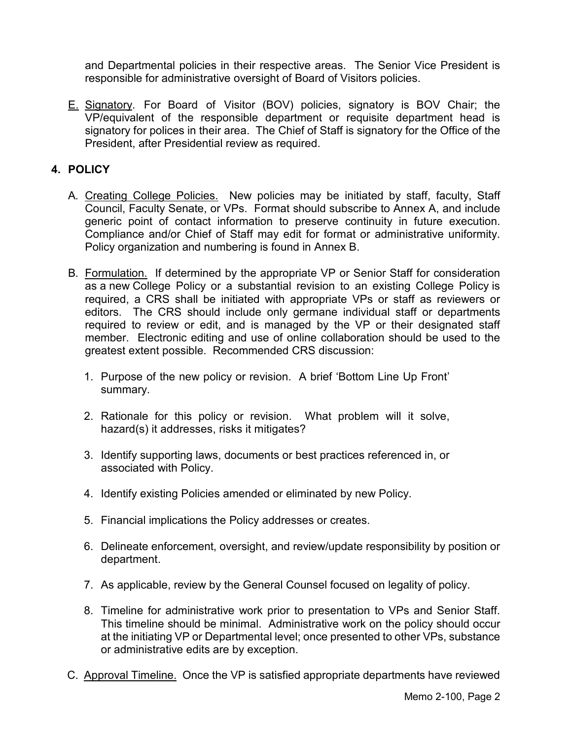and Departmental policies in their respective areas. The Senior Vice President is responsible for administrative oversight of Board of Visitors policies.

E. Signatory. For Board of Visitor (BOV) policies, signatory is BOV Chair; the VP/equivalent of the responsible department or requisite department head is signatory for polices in their area. The Chief of Staff is signatory for the Office of the President, after Presidential review as required.

## **4. POLICY**

- A. Creating College Policies. New policies may be initiated by staff, faculty, Staff Council, Faculty Senate, or VPs. Format should subscribe to Annex A, and include generic point of contact information to preserve continuity in future execution. Compliance and/or Chief of Staff may edit for format or administrative uniformity. Policy organization and numbering is found in Annex B.
- B. Formulation. If determined by the appropriate VP or Senior Staff for consideration as a new College Policy or a substantial revision to an existing College Policy is required, a CRS shall be initiated with appropriate VPs or staff as reviewers or editors. The CRS should include only germane individual staff or departments required to review or edit, and is managed by the VP or their designated staff member. Electronic editing and use of online collaboration should be used to the greatest extent possible. Recommended CRS discussion:
	- 1. Purpose of the new policy or revision. A brief 'Bottom Line Up Front' summary.
	- 2. Rationale for this policy or revision. What problem will it solve, hazard(s) it addresses, risks it mitigates?
	- 3. Identify supporting laws, documents or best practices referenced in, or associated with Policy.
	- 4. Identify existing Policies amended or eliminated by new Policy.
	- 5. Financial implications the Policy addresses or creates.
	- 6. Delineate enforcement, oversight, and review/update responsibility by position or department.
	- 7. As applicable, review by the General Counsel focused on legality of policy.
	- 8. Timeline for administrative work prior to presentation to VPs and Senior Staff. This timeline should be minimal. Administrative work on the policy should occur at the initiating VP or Departmental level; once presented to other VPs, substance or administrative edits are by exception.
- C. Approval Timeline. Once the VP is satisfied appropriate departments have reviewed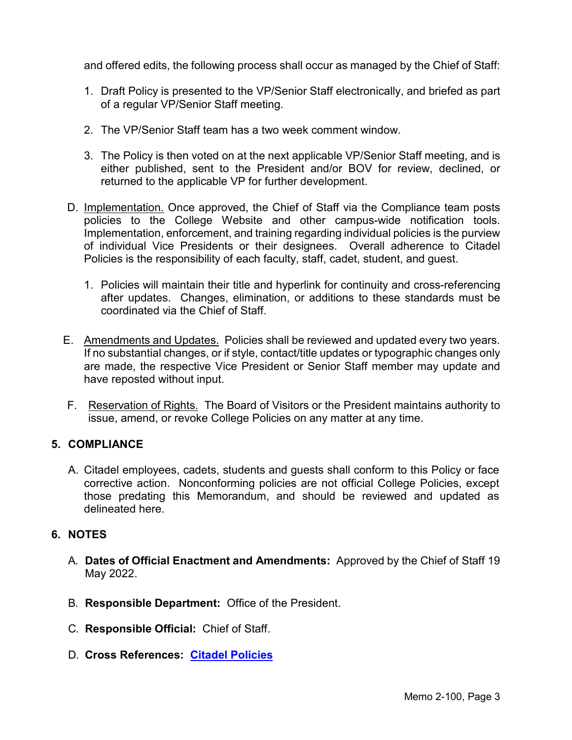and offered edits, the following process shall occur as managed by the Chief of Staff:

- 1. Draft Policy is presented to the VP/Senior Staff electronically, and briefed as part of a regular VP/Senior Staff meeting.
- 2. The VP/Senior Staff team has a two week comment window.
- 3. The Policy is then voted on at the next applicable VP/Senior Staff meeting, and is either published, sent to the President and/or BOV for review, declined, or returned to the applicable VP for further development.
- D. Implementation. Once approved, the Chief of Staff via the Compliance team posts policies to the College Website and other campus-wide notification tools. Implementation, enforcement, and training regarding individual policies is the purview of individual Vice Presidents or their designees. Overall adherence to Citadel Policies is the responsibility of each faculty, staff, cadet, student, and guest.
	- 1. Policies will maintain their title and hyperlink for continuity and cross-referencing after updates. Changes, elimination, or additions to these standards must be coordinated via the Chief of Staff.
- E. Amendments and Updates. Policies shall be reviewed and updated every two years. If no substantial changes, or if style, contact/title updates or typographic changes only are made, the respective Vice President or Senior Staff member may update and have reposted without input.
- F. Reservation of Rights. The Board of Visitors or the President maintains authority to issue, amend, or revoke College Policies on any matter at any time.

## **5. COMPLIANCE**

A. Citadel employees, cadets, students and guests shall conform to this Policy or face corrective action. Nonconforming policies are not official College Policies, except those predating this Memorandum, and should be reviewed and updated as delineated here.

#### **6. NOTES**

- A. **Dates of Official Enactment and Amendments:** Approved by the Chief of Staff 19 May 2022.
- B. **Responsible Department:** Office of the President.
- C. **Responsible Official:** Chief of Staff.
- D. **Cross References: Citadel [Policies](http://www.citadel.edu/root/policies/college-policies)**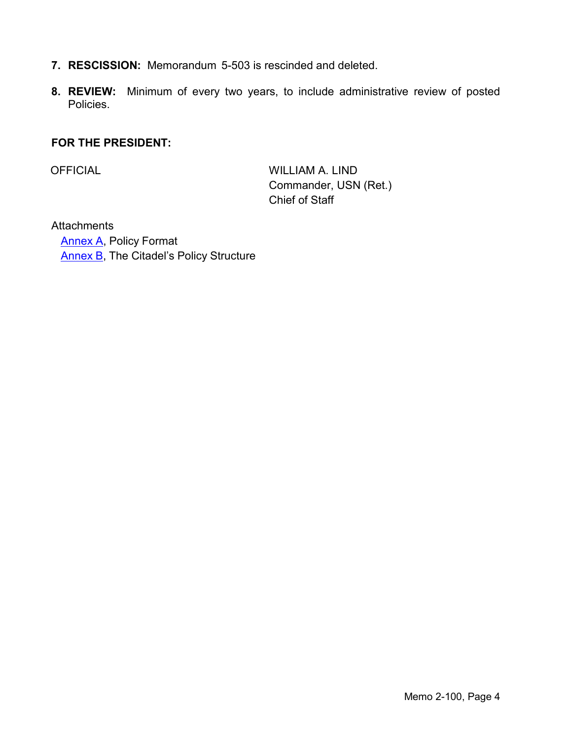- **7. RESCISSION:** Memorandum 5-503 is rescinded and deleted.
- **8. REVIEW:** Minimum of every two years, to include administrative review of posted Policies.

### **FOR THE PRESIDENT:**

OFFICIAL WILLIAM A. LIND Commander, USN (Ret.) Chief of Staff

**Attachments** [Annex A,](#page-4-0) Policy Format [Annex B,](#page-6-0) The Citadel's Policy Structure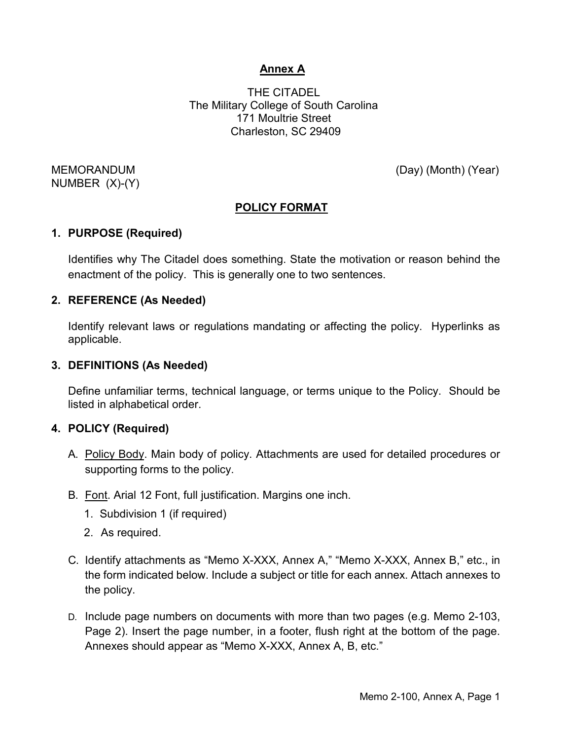# **Annex A**

THE CITADEL The Military College of South Carolina 171 Moultrie Street Charleston, SC 29409

NUMBER (X)-(Y)

<span id="page-4-0"></span>MEMORANDUM (Day) (Month) (Year)

# **POLICY FORMAT**

### **1. PURPOSE (Required)**

Identifies why The Citadel does something. State the motivation or reason behind the enactment of the policy. This is generally one to two sentences.

### **2. REFERENCE (As Needed)**

Identify relevant laws or regulations mandating or affecting the policy. Hyperlinks as applicable.

### **3. DEFINITIONS (As Needed)**

Define unfamiliar terms, technical language, or terms unique to the Policy. Should be listed in alphabetical order.

#### **4. POLICY (Required)**

- A. Policy Body. Main body of policy. Attachments are used for detailed procedures or supporting forms to the policy.
- B. Font. Arial 12 Font, full justification. Margins one inch.
	- 1. Subdivision 1 (if required)
	- 2. As required.
- C. Identify attachments as "Memo X-XXX, Annex A," "Memo X-XXX, Annex B," etc., in the form indicated below. Include a subject or title for each annex. Attach annexes to the policy.
- D. Include page numbers on documents with more than two pages (e.g. Memo 2-103, Page 2). Insert the page number, in a footer, flush right at the bottom of the page. Annexes should appear as "Memo X-XXX, Annex A, B, etc."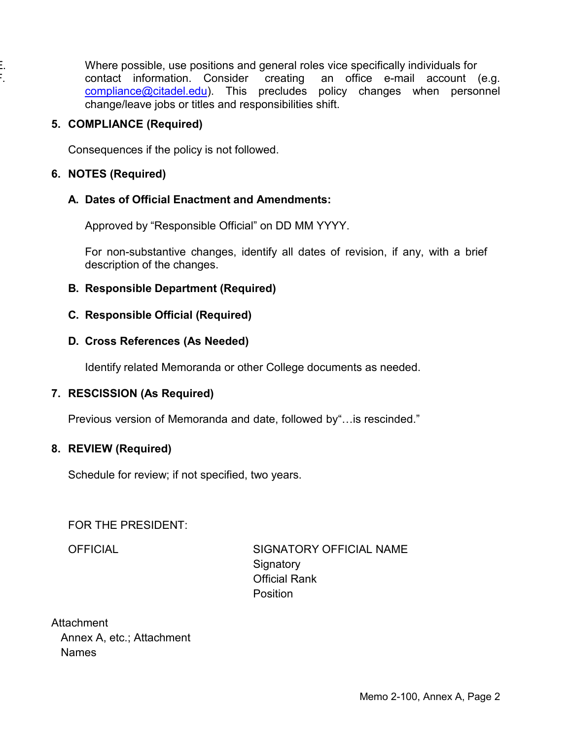Where possible, use positions and general roles vice specifically individuals for F. contact information. Consider creating an office e-mail account (e.g. [compliance@citadel.edu\)](mailto:compliance@citadel.edu). This precludes policy changes when personnel change/leave jobs or titles and responsibilities shift.

### **5. COMPLIANCE (Required)**

Consequences if the policy is not followed.

### **6. NOTES (Required)**

## **A. Dates of Official Enactment and Amendments:**

Approved by "Responsible Official" on DD MM YYYY.

For non-substantive changes, identify all dates of revision, if any, with a brief description of the changes.

## **B. Responsible Department (Required)**

### **C. Responsible Official (Required)**

### **D. Cross References (As Needed)**

Identify related Memoranda or other College documents as needed.

## **7. RESCISSION (As Required)**

Previous version of Memoranda and date, followed by"…is rescinded."

## **8. REVIEW (Required)**

Schedule for review; if not specified, two years.

#### FOR THE PRESIDENT:

OFFICIAL SIGNATORY OFFICIAL NAME Signatory Official Rank **Position** 

**Attachment** Annex A, etc.; Attachment Names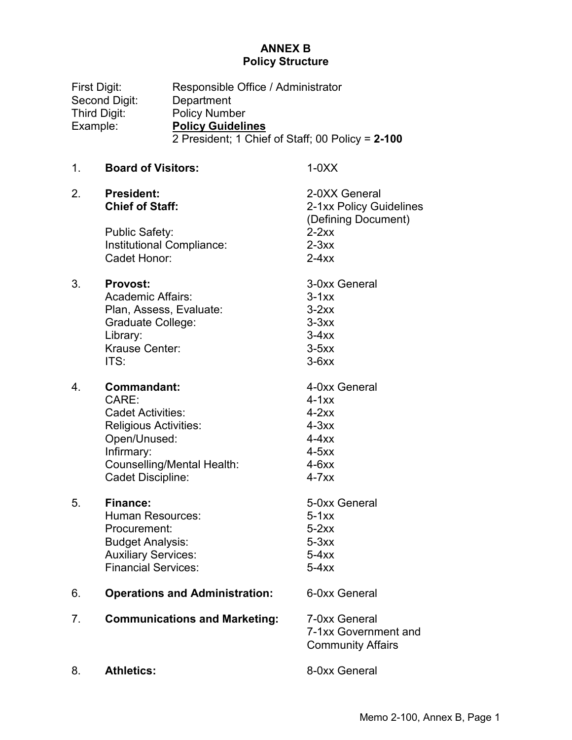#### **ANNEX B Policy Structure**

<span id="page-6-0"></span>First Digit: Responsible Office / Administrator Second Digit: Department Third Digit: Policy Number Example: **Policy Guidelines** 2 President; 1 Chief of Staff; 00 Policy = **2-100** 1. **Board of Visitors:** 1-0XX 2. **President:** 2-0XX General **Chief of Staff:** 2-1xx Policy Guidelines (Defining Document) Public Safety: 2-2xx Institutional Compliance: 2-3xx Cadet Honor: 2-4xx 3. **Provost:** 3-0xx General Academic Affairs: 3-1xx Plan, Assess, Evaluate: 3-2xx Graduate College: 3-3xx Library: 3-4xx Krause Center: 3-5xx  $ITS:$  3-6xx 4. **Commandant:** 4-0xx General CARE<sup>T</sup> 4-1xx Cadet Activities: 4-2xx Religious Activities: 4-3xx Open/Unused: 4-4xx Infirmary: 4-5xx Counselling/Mental Health: 4-6xx Cadet Discipline: 4-7xx 5. **Finance:** 5-0xx General Human Resources: 5-1xx Procurement: 5-2xx Budget Analysis: 5-3xx Auxiliary Services: 5-4xx Financial Services: 5-4xx 6. **Operations and Administration:** 6-0xx General 7. **Communications and Marketing:** 7-0xx General 7-1xx Government and Community Affairs

8. **Athletics:** 8-0xx General